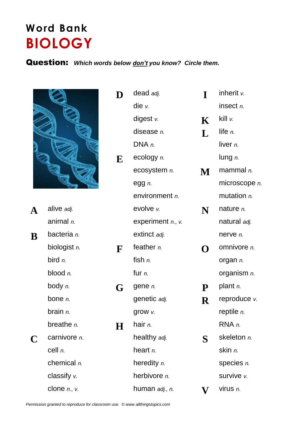## **Word Bank BIOLOGY**

## Question: *Which words below don't you know? Circle them.*



| A | alive adj.                |             | evolve v.              |           |  |
|---|---------------------------|-------------|------------------------|-----------|--|
|   | animal n.                 |             | experiment $n.$ , $v.$ |           |  |
| B | bacteria n.               |             | extinct adj.           |           |  |
|   | biologist n.              | $\mathbf F$ | feather <i>n</i> .     |           |  |
|   | bird $n$ .                |             | fish n.                |           |  |
|   | blood $n$ .               |             | fur $n$ .              |           |  |
|   | body n.                   | G           | gene n.                | ${\bf P}$ |  |
|   | bone $n$ .                |             | genetic adj.           | R         |  |
|   | brain n.                  |             | grow v.                |           |  |
|   | breathe $n$ .             | Н           | hair $n$ .             |           |  |
| C | carnivore n.              |             | healthy adj.           | S         |  |
|   | cell n.<br>chemical $n$ . |             | heart $n$ .            |           |  |
|   |                           |             | heredity <i>n</i> .    |           |  |
|   | classify $v$ .            |             | herbivore <i>n.</i>    |           |  |
|   | clone $n, v$ .            |             | human adj., n.         |           |  |

|          |                   | D         | dead adj.           | I             | inherit $v$ .      |
|----------|-------------------|-----------|---------------------|---------------|--------------------|
|          |                   |           | die $v$ .           |               | insect n.          |
|          |                   |           | digest v.           | $\mathbf K$   | kill v.            |
|          |                   |           | disease n.          | L             | life $n$ .         |
|          |                   |           | DNA n.              |               | liver n.           |
|          |                   | ${\bf E}$ | ecology n.          |               | lung $n$ .         |
|          |                   |           | ecosystem n.        | $\mathbf M$ . | mammal $n$ .       |
|          |                   |           | egg n.              |               | microscope n.      |
|          |                   |           | environment n.      |               | mutation <i>n.</i> |
| A        | alive adj.        |           | evolve v.           | N             | nature $n$ .       |
|          | animal n.         |           | experiment n., v.   |               | natural adj.       |
| $\bf{B}$ | bacteria n.       |           | extinct adj.        |               | nerve n.           |
|          | biologist n.      | F         | feather $n$ .       | O             | omnivore <i>n.</i> |
|          | bird $n$ .        |           | fish $n$ .          |               | organ n.           |
|          | blood $n$ .       |           | fur $n$ .           |               | organism n.        |
|          | body $n$ .        | G         | gene n.             | ${\bf P}$     | plant <i>n</i> .   |
|          | bone n.           |           | genetic adj.        | $\mathbf R$   | reproduce v.       |
|          | brain n.          |           | grow $v$ .          |               | reptile $n$ .      |
|          | breathe n.        | $\bf H$   | hair n.             |               | RNA n.             |
| C        | carnivore n.      |           | healthy adj.        | S             | skeleton n.        |
|          | cell n.           |           | heart $n$ .         |               | skin n.            |
|          | chemical $n$ .    |           | heredity n.         |               | species n.         |
|          | classify $v$ .    |           | herbivore <i>n.</i> |               | survive v.         |
|          | clone $n.$ , $v.$ |           | human adj., n.      | $\mathbf V$   | virus n.           |
|          |                   |           |                     |               |                    |

*Permission granted to reproduce for classroom use. © www.allthingstopics.com*